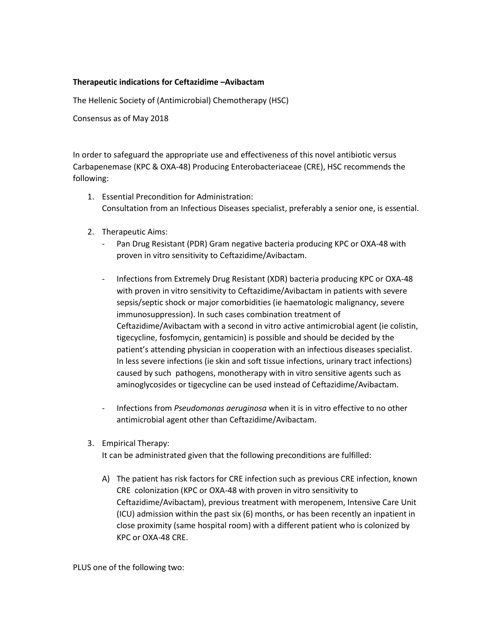## **Therapeutic indications for Ceftazidime –Avibactam**

The Hellenic Society of (Antimicrobial) Chemotherapy (HSC)

Consensus as of May 2018

In order to safeguard the appropriate use and effectiveness of this novel antibiotic versus Carbapenemase (KPC & OXA-48) Producing Enterobacteriaceae (CRE), HSC recommends the following:

- 1. Essential Precondition for Administration: Consultation from an Infectious Diseases specialist, preferably a senior one, is essential.
- 2. Therapeutic Aims:
	- Pan Drug Resistant (PDR) Gram negative bacteria producing KPC or OXA-48 with proven in vitro sensitivity to Ceftazidime/Avibactam.
	- Infections from Extremely Drug Resistant (XDR) bacteria producing KPC or OXA-48 with proven in vitro sensitivity to Ceftazidime/Avibactam in patients with severe sepsis/septic shock or major comorbidities (ie haematologic malignancy, severe immunosuppression). In such cases combination treatment of Ceftazidime/Avibactam with a second in vitro active antimicrobial agent (ie colistin, tigecycline, fosfomycin, gentamicin) is possible and should be decided by the patient's attending physician in cooperation with an infectious diseases specialist. In less severe infections (ie skin and soft tissue infections, urinary tract infections) caused by such pathogens, monotherapy with in vitro sensitive agents such as aminoglycosides or tigecycline can be used instead of Ceftazidime/Avibactam.
	- Infections from *Pseudomonas aeruginosa* when it is in vitro effective to no other antimicrobial agent other than Ceftazidime/Avibactam.
- 3. Empirical Therapy:

It can be administrated given that the following preconditions are fulfilled:

A) The patient has risk factors for CRE infection such as previous CRE infection, known CRE colonization (KPC or OXA-48 with proven in vitro sensitivity to Ceftazidime/Avibactam), previous treatment with meropenem, Intensive Care Unit (ICU) admission within the past six (6) months, or has been recently an inpatient in close proximity (same hospital room) with a different patient who is colonized by KPC or OXA-48 CRE.

PLUS one of the following two: